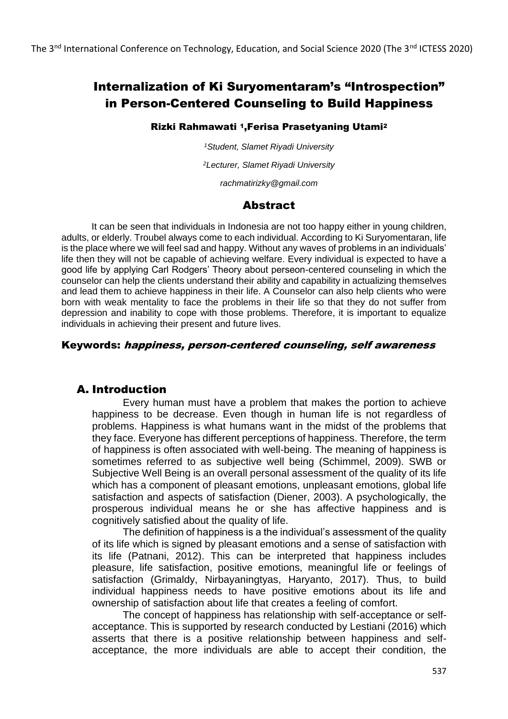# Internalization of Ki Suryomentaram's "Introspection" in Person-Centered Counseling to Build Happiness

#### Rizki Rahmawati 1,Ferisa Prasetyaning Utami<sup>2</sup>

*<sup>1</sup>Student, Slamet Riyadi University*

*<sup>2</sup>Lecturer, Slamet Riyadi University*

*rachmatirizky@gmail.com*

## Abstract

It can be seen that individuals in Indonesia are not too happy either in young children, adults, or elderly. Troubel always come to each individual. According to Ki Suryomentaran, life is the place where we will feel sad and happy. Without any waves of problems in an individuals' life then they will not be capable of achieving welfare. Every individual is expected to have a good life by applying Carl Rodgers' Theory about perseon-centered counseling in which the counselor can help the clients understand their ability and capability in actualizing themselves and lead them to achieve happiness in their life. A Counselor can also help clients who were born with weak mentality to face the problems in their life so that they do not suffer from depression and inability to cope with those problems. Therefore, it is important to equalize individuals in achieving their present and future lives.

#### Keywords: happiness, person-centered counseling, self awareness

## A. Introduction

Every human must have a problem that makes the portion to achieve happiness to be decrease. Even though in human life is not regardless of problems. Happiness is what humans want in the midst of the problems that they face. Everyone has different perceptions of happiness. Therefore, the term of happiness is often associated with well-being. The meaning of happiness is sometimes referred to as subjective well being (Schimmel, 2009). SWB or Subjective Well Being is an overall personal assessment of the quality of its life which has a component of pleasant emotions, unpleasant emotions, global life satisfaction and aspects of satisfaction (Diener, 2003). A psychologically, the prosperous individual means he or she has affective happiness and is cognitively satisfied about the quality of life.

The definition of happiness is a the individual's assessment of the quality of its life which is signed by pleasant emotions and a sense of satisfaction with its life (Patnani, 2012). This can be interpreted that happiness includes pleasure, life satisfaction, positive emotions, meaningful life or feelings of satisfaction (Grimaldy, Nirbayaningtyas, Haryanto, 2017). Thus, to build individual happiness needs to have positive emotions about its life and ownership of satisfaction about life that creates a feeling of comfort.

The concept of happiness has relationship with self-acceptance or selfacceptance. This is supported by research conducted by Lestiani (2016) which asserts that there is a positive relationship between happiness and selfacceptance, the more individuals are able to accept their condition, the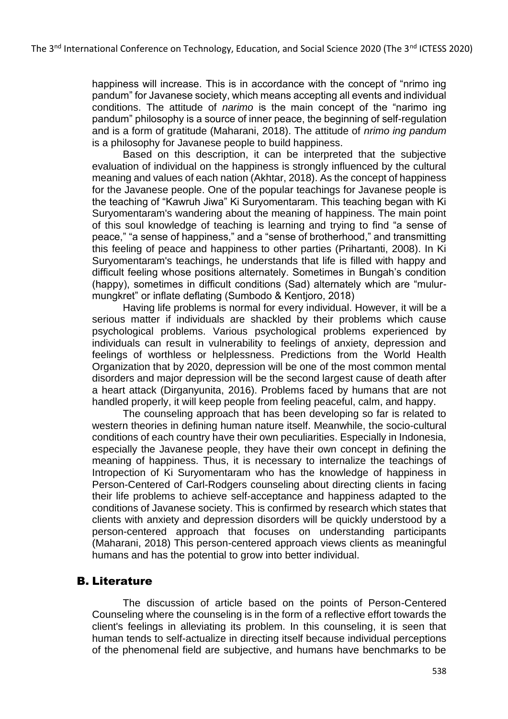happiness will increase. This is in accordance with the concept of "nrimo ing pandum" for Javanese society, which means accepting all events and individual conditions. The attitude of *narimo* is the main concept of the "narimo ing pandum" philosophy is a source of inner peace, the beginning of self-regulation and is a form of gratitude (Maharani, 2018). The attitude of *nrimo ing pandum* is a philosophy for Javanese people to build happiness.

Based on this description, it can be interpreted that the subjective evaluation of individual on the happiness is strongly influenced by the cultural meaning and values of each nation (Akhtar, 2018). As the concept of happiness for the Javanese people. One of the popular teachings for Javanese people is the teaching of "Kawruh Jiwa" Ki Suryomentaram. This teaching began with Ki Suryomentaram's wandering about the meaning of happiness. The main point of this soul knowledge of teaching is learning and trying to find "a sense of peace," "a sense of happiness," and a "sense of brotherhood," and transmitting this feeling of peace and happiness to other parties (Prihartanti, 2008). In Ki Suryomentaram's teachings, he understands that life is filled with happy and difficult feeling whose positions alternately. Sometimes in Bungah's condition (happy), sometimes in difficult conditions (Sad) alternately which are "mulurmungkret" or inflate deflating (Sumbodo & Kentjoro, 2018)

Having life problems is normal for every individual. However, it will be a serious matter if individuals are shackled by their problems which cause psychological problems. Various psychological problems experienced by individuals can result in vulnerability to feelings of anxiety, depression and feelings of worthless or helplessness. Predictions from the World Health Organization that by 2020, depression will be one of the most common mental disorders and major depression will be the second largest cause of death after a heart attack (Dirganyunita, 2016). Problems faced by humans that are not handled properly, it will keep people from feeling peaceful, calm, and happy.

The counseling approach that has been developing so far is related to western theories in defining human nature itself. Meanwhile, the socio-cultural conditions of each country have their own peculiarities. Especially in Indonesia, especially the Javanese people, they have their own concept in defining the meaning of happiness. Thus, it is necessary to internalize the teachings of Intropection of Ki Suryomentaram who has the knowledge of happiness in Person-Centered of Carl-Rodgers counseling about directing clients in facing their life problems to achieve self-acceptance and happiness adapted to the conditions of Javanese society. This is confirmed by research which states that clients with anxiety and depression disorders will be quickly understood by a person-centered approach that focuses on understanding participants (Maharani, 2018) This person-centered approach views clients as meaningful humans and has the potential to grow into better individual.

## B. Literature

The discussion of article based on the points of Person-Centered Counseling where the counseling is in the form of a reflective effort towards the client's feelings in alleviating its problem. In this counseling, it is seen that human tends to self-actualize in directing itself because individual perceptions of the phenomenal field are subjective, and humans have benchmarks to be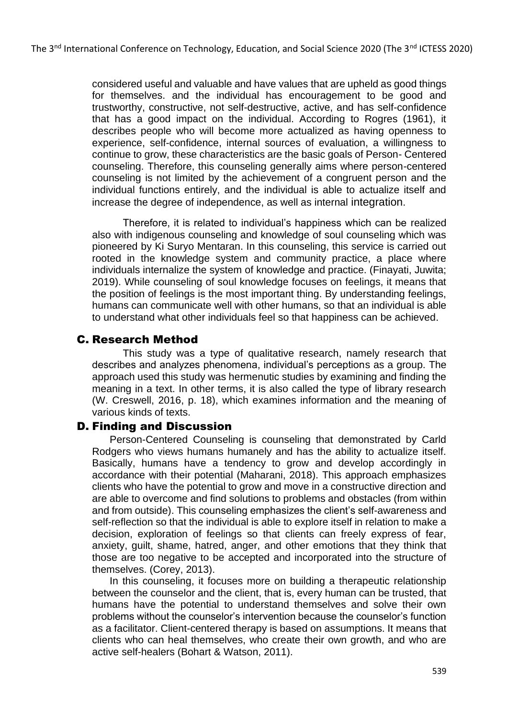considered useful and valuable and have values that are upheld as good things for themselves. and the individual has encouragement to be good and trustworthy, constructive, not self-destructive, active, and has self-confidence that has a good impact on the individual. According to Rogres (1961), it describes people who will become more actualized as having openness to experience, self-confidence, internal sources of evaluation, a willingness to continue to grow, these characteristics are the basic goals of Person- Centered counseling. Therefore, this counseling generally aims where person-centered counseling is not limited by the achievement of a congruent person and the individual functions entirely, and the individual is able to actualize itself and increase the degree of independence, as well as internal integration.

Therefore, it is related to individual's happiness which can be realized also with indigenous counseling and knowledge of soul counseling which was pioneered by Ki Suryo Mentaran. In this counseling, this service is carried out rooted in the knowledge system and community practice, a place where individuals internalize the system of knowledge and practice. (Finayati, Juwita; 2019). While counseling of soul knowledge focuses on feelings, it means that the position of feelings is the most important thing. By understanding feelings, humans can communicate well with other humans, so that an individual is able to understand what other individuals feel so that happiness can be achieved.

## C. Research Method

This study was a type of qualitative research, namely research that describes and analyzes phenomena, individual's perceptions as a group. The approach used this study was hermenutic studies by examining and finding the meaning in a text. In other terms, it is also called the type of library research (W. Creswell, 2016, p. 18), which examines information and the meaning of various kinds of texts.

#### D. Finding and Discussion

Person-Centered Counseling is counseling that demonstrated by Carld Rodgers who views humans humanely and has the ability to actualize itself. Basically, humans have a tendency to grow and develop accordingly in accordance with their potential (Maharani, 2018). This approach emphasizes clients who have the potential to grow and move in a constructive direction and are able to overcome and find solutions to problems and obstacles (from within and from outside). This counseling emphasizes the client's self-awareness and self-reflection so that the individual is able to explore itself in relation to make a decision, exploration of feelings so that clients can freely express of fear, anxiety, guilt, shame, hatred, anger, and other emotions that they think that those are too negative to be accepted and incorporated into the structure of themselves. (Corey, 2013).

In this counseling, it focuses more on building a therapeutic relationship between the counselor and the client, that is, every human can be trusted, that humans have the potential to understand themselves and solve their own problems without the counselor's intervention because the counselor's function as a facilitator. Client-centered therapy is based on assumptions. It means that clients who can heal themselves, who create their own growth, and who are active self-healers (Bohart & Watson, 2011).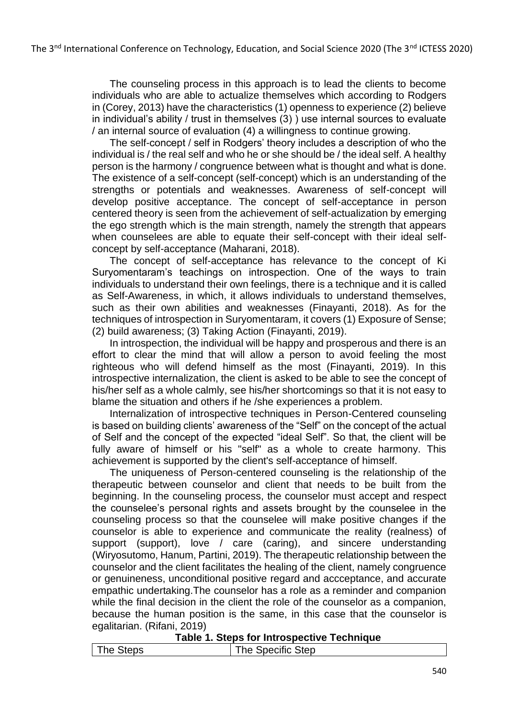The counseling process in this approach is to lead the clients to become individuals who are able to actualize themselves which according to Rodgers in (Corey, 2013) have the characteristics (1) openness to experience (2) believe in individual's ability / trust in themselves (3) ) use internal sources to evaluate / an internal source of evaluation (4) a willingness to continue growing.

The self-concept / self in Rodgers' theory includes a description of who the individual is / the real self and who he or she should be / the ideal self. A healthy person is the harmony / congruence between what is thought and what is done. The existence of a self-concept (self-concept) which is an understanding of the strengths or potentials and weaknesses. Awareness of self-concept will develop positive acceptance. The concept of self-acceptance in person centered theory is seen from the achievement of self-actualization by emerging the ego strength which is the main strength, namely the strength that appears when counselees are able to equate their self-concept with their ideal selfconcept by self-acceptance (Maharani, 2018).

The concept of self-acceptance has relevance to the concept of Ki Suryomentaram's teachings on introspection. One of the ways to train individuals to understand their own feelings, there is a technique and it is called as Self-Awareness, in which, it allows individuals to understand themselves, such as their own abilities and weaknesses (Finayanti, 2018). As for the techniques of introspection in Suryomentaram, it covers (1) Exposure of Sense; (2) build awareness; (3) Taking Action (Finayanti, 2019).

In introspection, the individual will be happy and prosperous and there is an effort to clear the mind that will allow a person to avoid feeling the most righteous who will defend himself as the most (Finayanti, 2019). In this introspective internalization, the client is asked to be able to see the concept of his/her self as a whole calmly, see his/her shortcomings so that it is not easy to blame the situation and others if he /she experiences a problem.

Internalization of introspective techniques in Person-Centered counseling is based on building clients' awareness of the "Self" on the concept of the actual of Self and the concept of the expected "ideal Self". So that, the client will be fully aware of himself or his "self" as a whole to create harmony. This achievement is supported by the client's self-acceptance of himself.

The uniqueness of Person-centered counseling is the relationship of the therapeutic between counselor and client that needs to be built from the beginning. In the counseling process, the counselor must accept and respect the counselee's personal rights and assets brought by the counselee in the counseling process so that the counselee will make positive changes if the counselor is able to experience and communicate the reality (realness) of support (support), love / care (caring), and sincere understanding (Wiryosutomo, Hanum, Partini, 2019). The therapeutic relationship between the counselor and the client facilitates the healing of the client, namely congruence or genuineness, unconditional positive regard and accceptance, and accurate empathic undertaking.The counselor has a role as a reminder and companion while the final decision in the client the role of the counselor as a companion, because the human position is the same, in this case that the counselor is egalitarian. (Rifani, 2019)

#### **Table 1. Steps for Introspective Technique**

|  | The Steps | The Specific Step |
|--|-----------|-------------------|
|--|-----------|-------------------|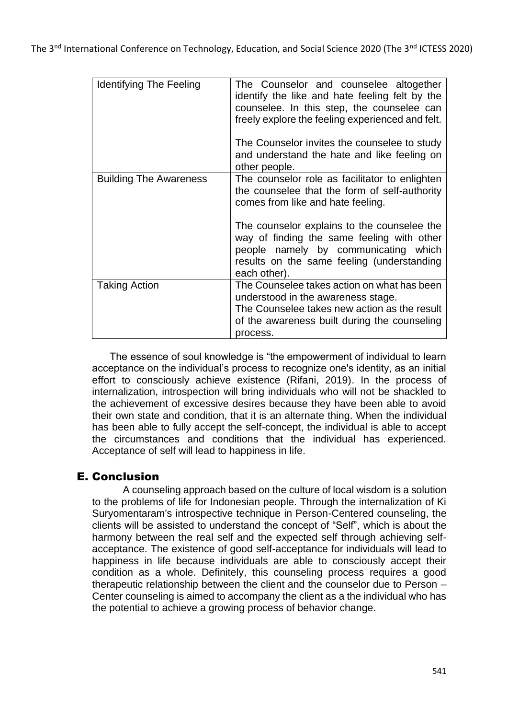| <b>Identifying The Feeling</b> | The Counselor and counselee altogether<br>identify the like and hate feeling felt by the<br>counselee. In this step, the counselee can<br>freely explore the feeling experienced and felt.<br>The Counselor invites the counselee to study<br>and understand the hate and like feeling on<br>other people.                              |
|--------------------------------|-----------------------------------------------------------------------------------------------------------------------------------------------------------------------------------------------------------------------------------------------------------------------------------------------------------------------------------------|
| <b>Building The Awareness</b>  | The counselor role as facilitator to enlighten<br>the counselee that the form of self-authority<br>comes from like and hate feeling.<br>The counselor explains to the counselee the<br>way of finding the same feeling with other<br>people namely by communicating which<br>results on the same feeling (understanding<br>each other). |
| <b>Taking Action</b>           | The Counselee takes action on what has been<br>understood in the awareness stage.<br>The Counselee takes new action as the result<br>of the awareness built during the counseling<br>process.                                                                                                                                           |

The essence of soul knowledge is "the empowerment of individual to learn acceptance on the individual's process to recognize one's identity, as an initial effort to consciously achieve existence (Rifani, 2019). In the process of internalization, introspection will bring individuals who will not be shackled to the achievement of excessive desires because they have been able to avoid their own state and condition, that it is an alternate thing. When the individual has been able to fully accept the self-concept, the individual is able to accept the circumstances and conditions that the individual has experienced. Acceptance of self will lead to happiness in life.

## E. Conclusion

A counseling approach based on the culture of local wisdom is a solution to the problems of life for Indonesian people. Through the internalization of Ki Suryomentaram's introspective technique in Person-Centered counseling, the clients will be assisted to understand the concept of "Self", which is about the harmony between the real self and the expected self through achieving selfacceptance. The existence of good self-acceptance for individuals will lead to happiness in life because individuals are able to consciously accept their condition as a whole. Definitely, this counseling process requires a good therapeutic relationship between the client and the counselor due to Person – Center counseling is aimed to accompany the client as a the individual who has the potential to achieve a growing process of behavior change.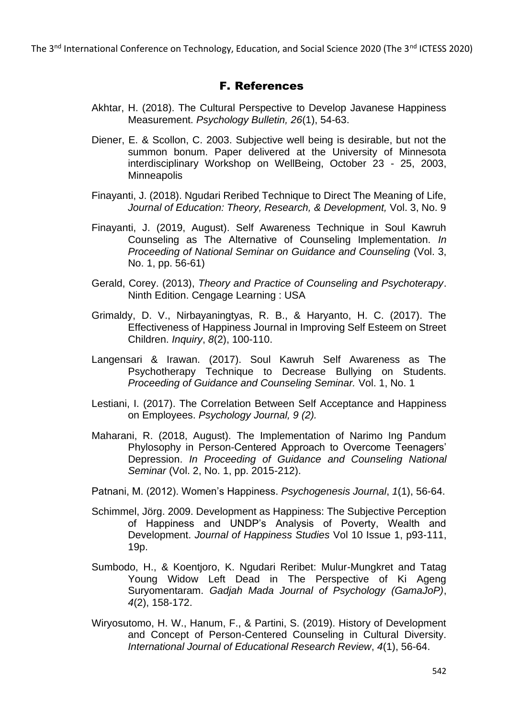The 3<sup>nd</sup> International Conference on Technology, Education, and Social Science 2020 (The 3<sup>nd</sup> ICTESS 2020)

### F. References

- Akhtar, H. (2018). The Cultural Perspective to Develop Javanese Happiness Measurement. *Psychology Bulletin, 26*(1), 54-63.
- Diener, E. & Scollon, C. 2003. Subjective well being is desirable, but not the summon bonum. Paper delivered at the University of Minnesota interdisciplinary Workshop on WellBeing, October 23 - 25, 2003, **Minneapolis**
- Finayanti, J. (2018). Ngudari Reribed Technique to Direct The Meaning of Life, *Journal of Education: Theory, Research, & Development,* Vol. 3, No. 9
- Finayanti, J. (2019, August). Self Awareness Technique in Soul Kawruh Counseling as The Alternative of Counseling Implementation. *In Proceeding of National Seminar on Guidance and Counseling* (Vol. 3, No. 1, pp. 56-61)
- Gerald, Corey. (2013), *Theory and Practice of Counseling and Psychoterapy*. Ninth Edition. Cengage Learning : USA
- Grimaldy, D. V., Nirbayaningtyas, R. B., & Haryanto, H. C. (2017). The Effectiveness of Happiness Journal in Improving Self Esteem on Street Children. *Inquiry*, *8*(2), 100-110.
- Langensari & Irawan. (2017). Soul Kawruh Self Awareness as The Psychotherapy Technique to Decrease Bullying on Students. *Proceeding of Guidance and Counseling Seminar.* Vol. 1, No. 1
- Lestiani, I. (2017). The Correlation Between Self Acceptance and Happiness on Employees. *Psychology Journal, 9 (2).*
- Maharani, R. (2018, August). The Implementation of Narimo Ing Pandum Phylosophy in Person-Centered Approach to Overcome Teenagers' Depression. *In Proceeding of Guidance and Counseling National Seminar* (Vol. 2, No. 1, pp. 2015-212).
- Patnani, M. (2012). Women's Happiness. *Psychogenesis Journal*, *1*(1), 56-64.
- Schimmel, Jörg. 2009. Development as Happiness: The Subjective Perception of Happiness and UNDP's Analysis of Poverty, Wealth and Development. *Journal of Happiness Studies* Vol 10 Issue 1, p93-111, 19p.
- Sumbodo, H., & Koentjoro, K. Ngudari Reribet: Mulur-Mungkret and Tatag Young Widow Left Dead in The Perspective of Ki Ageng Suryomentaram. *Gadjah Mada Journal of Psychology (GamaJoP)*, *4*(2), 158-172.
- Wiryosutomo, H. W., Hanum, F., & Partini, S. (2019). History of Development and Concept of Person-Centered Counseling in Cultural Diversity. *International Journal of Educational Research Review*, *4*(1), 56-64.